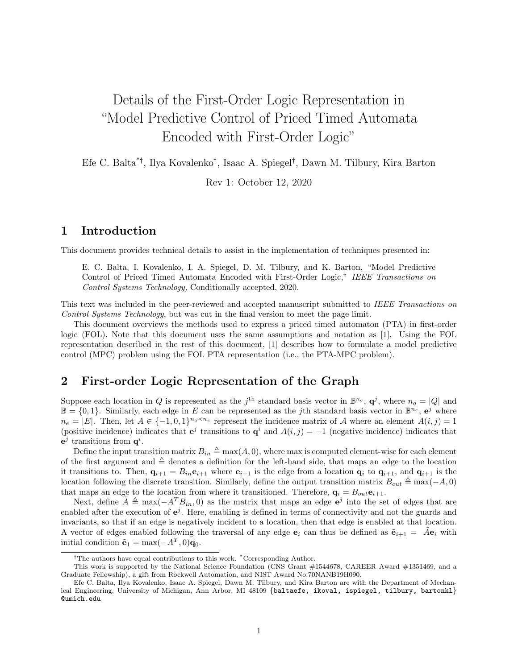# Details of the First-Order Logic Representation in "Model Predictive Control of Priced Timed Automata Encoded with First-Order Logic"

Efe C. Balta\*† , Ilya Kovalenko† , Isaac A. Spiegel† , Dawn M. Tilbury, Kira Barton

Rev 1: October 12, 2020

### 1 Introduction

This document provides technical details to assist in the implementation of techniques presented in:

E. C. Balta, I. Kovalenko, I. A. Spiegel, D. M. Tilbury, and K. Barton, "Model Predictive Control of Priced Timed Automata Encoded with First-Order Logic," IEEE Transactions on Control Systems Technology, Conditionally accepted, 2020.

This text was included in the peer-reviewed and accepted manuscript submitted to IEEE Transactions on Control Systems Technology, but was cut in the final version to meet the page limit.

This document overviews the methods used to express a priced timed automaton (PTA) in first-order logic (FOL). Note that this document uses the same assumptions and notation as [1]. Using the FOL representation described in the rest of this document, [1] describes how to formulate a model predictive control (MPC) problem using the FOL PTA representation (i.e., the PTA-MPC problem).

## 2 First-order Logic Representation of the Graph

Suppose each location in Q is represented as the  $j^{\text{th}}$  standard basis vector in  $\mathbb{B}^{n_q}$ ,  $\mathbf{q}^j$ , where  $n_q = |Q|$  and  $\mathbb{B} = \{0,1\}$ . Similarly, each edge in E can be represented as the jth standard basis vector in  $\mathbb{B}^{n_e}$ ,  $e^j$  where  $n_e = |E|$ . Then, let  $A \in \{-1,0,1\}^{n_q \times n_e}$  represent the incidence matrix of A where an element  $A(i, j) = 1$ (positive incidence) indicates that  $e^j$  transitions to  $q^i$  and  $A(i, j) = -1$  (negative incidence) indicates that  $e^j$  transitions from  $q^i$ .

Define the input transition matrix  $B_{in} \triangleq \max(A, 0)$ , where max is computed element-wise for each element of the first argument and  $\triangleq$  denotes a definition for the left-hand side, that maps an edge to the location it transitions to. Then,  $\mathbf{q}_{i+1} = B_{in} \mathbf{e}_{i+1}$  where  $\mathbf{e}_{i+1}$  is the edge from a location  $\mathbf{q}_i$  to  $\mathbf{q}_{i+1}$ , and  $\mathbf{q}_{i+1}$  is the location following the discrete transition. Similarly, define the output transition matrix  $B_{out} \triangleq \max(-A, 0)$ that maps an edge to the location from where it transitioned. Therefore,  $\mathbf{q}_i = B_{out} \mathbf{e}_{i+1}$ .

Next, define  $\tilde{A} \triangleq \max(-A^T B_{in}, 0)$  as the matrix that maps an edge  $e^j$  into the set of edges that are enabled after the execution of  $e^j$ . Here, enabling is defined in terms of connectivity and not the guards and invariants, so that if an edge is negatively incident to a location, then that edge is enabled at that location. A vector of edges enabled following the traversal of any edge  $e_i$  can thus be defined as  $\tilde{e}_{i+1} = \tilde{A}e_i$  with initial condition  $\tilde{\mathbf{e}}_1 = \max(-A^T, 0)\mathbf{q}_0$ .

<sup>&</sup>lt;sup>†</sup>The authors have equal contributions to this work. <sup>\*</sup>Corresponding Author.

This work is supported by the National Science Foundation (CNS Grant #1544678, CAREER Award #1351469, and a Graduate Fellowship), a gift from Rockwell Automation, and NIST Award No.70NANB19H090.

Efe C. Balta, Ilya Kovalenko, Isaac A. Spiegel, Dawn M. Tilbury, and Kira Barton are with the Department of Mechanical Engineering, University of Michigan, Ann Arbor, MI 48109 {baltaefe, ikoval, ispiegel, tilbury, bartonkl} @umich.edu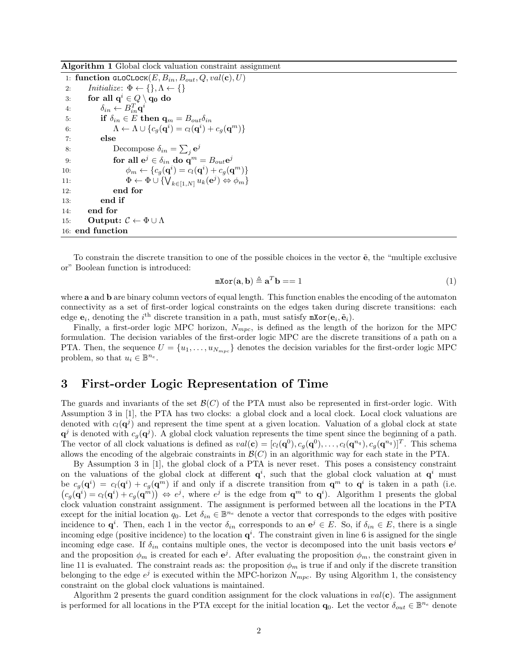Algorithm 1 Global clock valuation constraint assignment

|     | 1: function $\texttt{GLOCLOCK}(E, B_{in}, B_{out}, Q, val(\mathbf{c}), U)$                       |
|-----|--------------------------------------------------------------------------------------------------|
| 2:  | Initialize: $\Phi \leftarrow \{\}, \Lambda \leftarrow \{\}$                                      |
| 3:  | for all $q^i \in Q \setminus q_0$ do                                                             |
| 4:  | $\delta_{in} \leftarrow B_{in}^{T} \mathbf{q}^{i}$                                               |
| 5:  | if $\delta_{in} \in E$ then $\mathbf{q}_m = B_{out} \delta_{in}$                                 |
| 6:  | $\Lambda \leftarrow \Lambda \cup \{c_q(\mathbf{q}^i) = c_l(\mathbf{q}^i) + c_q(\mathbf{q}^m)\}\$ |
| 7:  | else                                                                                             |
| 8:  | Decompose $\delta_{in} = \sum_i {\bf e}^j$                                                       |
| 9:  | for all $e^j \in \delta_{in}$ do $q^m = B_{out}e^j$                                              |
| 10: | $\phi_m \leftarrow \{c_q(\mathbf{q}^i) = c_l(\mathbf{q}^i) + c_q(\mathbf{q}^m)\}\$               |
| 11: | $\Phi \leftarrow \Phi \cup \{\bigvee_{k \in [1,N]} u_k(e^j) \Leftrightarrow \phi_m\}$            |
| 12: | end for                                                                                          |
| 13: | end if                                                                                           |
| 14: | end for                                                                                          |
| 15: | Output: $\mathcal{C} \leftarrow \Phi \cup \Lambda$                                               |
|     | 16: end function                                                                                 |

To constrain the discrete transition to one of the possible choices in the vector  $\tilde{\mathbf{e}}$ , the "multiple exclusive" or" Boolean function is introduced:

$$
\mathbf{m} \mathbf{X} \mathbf{or} (\mathbf{a}, \mathbf{b}) \triangleq \mathbf{a}^T \mathbf{b} = 1 \tag{1}
$$

where a and b are binary column vectors of equal length. This function enables the encoding of the automaton connectivity as a set of first-order logical constraints on the edges taken during discrete transitions: each edge  $\mathbf{e}_i$ , denoting the *i*<sup>th</sup> discrete transition in a path, must satisfy  $\texttt{mXor}(\mathbf{e}_i, \tilde{\mathbf{e}}_i)$ .

Finally, a first-order logic MPC horizon,  $N_{mpc}$ , is defined as the length of the horizon for the MPC formulation. The decision variables of the first-order logic MPC are the discrete transitions of a path on a PTA. Then, the sequence  $U = \{u_1, \ldots, u_{N_{mpc}}\}$  denotes the decision variables for the first-order logic MPC problem, so that  $u_i \in \mathbb{B}^{n_e}$ .

#### 3 First-order Logic Representation of Time

The guards and invariants of the set  $\mathcal{B}(C)$  of the PTA must also be represented in first-order logic. With Assumption 3 in [1], the PTA has two clocks: a global clock and a local clock. Local clock valuations are denoted with  $c_l(\mathbf{q}^j)$  and represent the time spent at a given location. Valuation of a global clock at state  $\mathbf{q}^j$  is denoted with  $c_g(\mathbf{q}^j)$ . A global clock valuation represents the time spent since the beginning of a path. The vector of all clock valuations is defined as  $val(c) = [c_l(q^0), c_g(q^0), \ldots, c_l(q^{n_q}), c_g(q^{n_q})]^T$ . This schema allows the encoding of the algebraic constraints in  $\mathcal{B}(C)$  in an algorithmic way for each state in the PTA.

By Assumption 3 in [1], the global clock of a PTA is never reset. This poses a consistency constraint on the valuations of the global clock at different  $q^i$ , such that the global clock valuation at  $q^i$  must be  $c_g(\mathbf{q}^i) = c_l(\mathbf{q}^i) + c_g(\mathbf{q}^m)$  if and only if a discrete transition from  $\mathbf{q}^m$  to  $\mathbf{q}^i$  is taken in a path (i.e.  $(c_g(\mathbf{q}^i) = c_l(\mathbf{q}^i) + c_g(\mathbf{q}^m)) \Leftrightarrow e^j$ , where  $e^j$  is the edge from  $\mathbf{q}^m$  to  $\mathbf{q}^i$ ). Algorithm 1 presents the global clock valuation constraint assignment. The assignment is performed between all the locations in the PTA except for the initial location  $q_0$ . Let  $\delta_{in} \in \mathbb{B}^{n_e}$  denote a vector that corresponds to the edges with positive incidence to  $\mathbf{q}^i$ . Then, each 1 in the vector  $\delta_{in}$  corresponds to an  $\mathbf{e}^j \in E$ . So, if  $\delta_{in} \in E$ , there is a single incoming edge (positive incidence) to the location  $q^i$ . The constraint given in line 6 is assigned for the single incoming edge case. If  $\delta_{in}$  contains multiple ones, the vector is decomposed into the unit basis vectors  $e^{j}$ and the proposition  $\phi_m$  is created for each  $e^j$ . After evaluating the proposition  $\phi_m$ , the constraint given in line 11 is evaluated. The constraint reads as: the proposition  $\phi_m$  is true if and only if the discrete transition belonging to the edge  $e^j$  is executed within the MPC-horizon  $N_{mpc}$ . By using Algorithm 1, the consistency constraint on the global clock valuations is maintained.

Algorithm 2 presents the guard condition assignment for the clock valuations in  $val(c)$ . The assignment is performed for all locations in the PTA except for the initial location  $\mathbf{q}_0$ . Let the vector  $\delta_{out} \in \mathbb{B}^{n_e}$  denote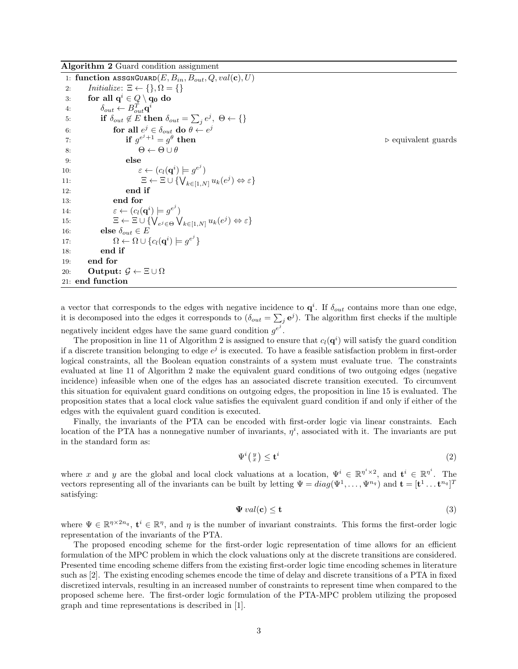|                  | 1: function $\texttt{ASSGNGUARD}(E, B_{in}, B_{out}, Q, val(\mathbf{c}), U)$                                      |                                    |  |
|------------------|-------------------------------------------------------------------------------------------------------------------|------------------------------------|--|
| 2:               | <i>Initialize:</i> $\Xi \leftarrow \{\}, \Omega = \{\}$                                                           |                                    |  |
| 3:               | for all $q^i \in Q \setminus q_0$ do                                                                              |                                    |  |
| 4:               | $\delta_{out} \leftarrow B_{out}^T \mathbf{q}^i$                                                                  |                                    |  |
| 5:               | if $\delta_{out} \notin E$ then $\delta_{out} = \sum_i e^i$ , $\Theta \leftarrow \{\}$                            |                                    |  |
| 6:               | for all $e^j \in \delta_{out}$ do $\theta \leftarrow e^j$                                                         |                                    |  |
| 7:               | if $q^{e^j+1} = q^{\theta}$ then                                                                                  | $\triangleright$ equivalent guards |  |
| 8:               | $\Theta \leftarrow \Theta \cup \theta$                                                                            |                                    |  |
| 9:               | else                                                                                                              |                                    |  |
| 10:              | $\varepsilon \leftarrow (c_l(\mathbf{q}^i) \models q^{e^j})$                                                      |                                    |  |
| 11:              | $\Xi \leftarrow \Xi \cup \{\bigvee_{k \in [1,N]} u_k(e^j) \Leftrightarrow \varepsilon\}$                          |                                    |  |
| 12:              | end if                                                                                                            |                                    |  |
| 13:              | end for                                                                                                           |                                    |  |
| 14.              | $\varepsilon \leftarrow (c_l(\mathbf{q}^i) \models q^{e^j})$                                                      |                                    |  |
| 15:              | $\Xi \leftarrow \Xi \cup \{\bigvee_{e^j \in \Theta} \bigvee_{k \in [1,N]} u_k(e^j) \Leftrightarrow \varepsilon\}$ |                                    |  |
| 16:              | else $\delta_{out} \in E$                                                                                         |                                    |  |
| 17:              | $\Omega \leftarrow \Omega \cup \{c_l(\mathbf{q}^i) \models q^{e^j}\}\$                                            |                                    |  |
| 18:              | end if                                                                                                            |                                    |  |
| 19:              | end for                                                                                                           |                                    |  |
| 20:              | Output: $\mathcal{G} \leftarrow \Xi \cup \Omega$                                                                  |                                    |  |
| 21: end function |                                                                                                                   |                                    |  |

Algorithm 2 Guard condition assignment

a vector that corresponds to the edges with negative incidence to  $q^i$ . If  $\delta_{out}$  contains more than one edge, it is decomposed into the edges it corresponds to  $(\delta_{out} = \sum_j \mathbf{e}^j)$ . The algorithm first checks if the multiple negatively incident edges have the same guard condition  $g^{e^j}$ .

The proposition in line 11 of Algorithm 2 is assigned to ensure that  $c_l(\mathbf{q}^i)$  will satisfy the guard condition if a discrete transition belonging to edge  $e^j$  is executed. To have a feasible satisfaction problem in first-order logical constraints, all the Boolean equation constraints of a system must evaluate true. The constraints evaluated at line 11 of Algorithm 2 make the equivalent guard conditions of two outgoing edges (negative incidence) infeasible when one of the edges has an associated discrete transition executed. To circumvent this situation for equivalent guard conditions on outgoing edges, the proposition in line 15 is evaluated. The proposition states that a local clock value satisfies the equivalent guard condition if and only if either of the edges with the equivalent guard condition is executed.

Finally, the invariants of the PTA can be encoded with first-order logic via linear constraints. Each location of the PTA has a nonnegative number of invariants,  $\eta^i$ , associated with it. The invariants are put in the standard form as:

$$
\Psi^i\left(\begin{smallmatrix}y\\x\end{smallmatrix}\right)\leq\mathbf{t}^i\tag{2}
$$

where x and y are the global and local clock valuations at a location,  $\Psi^i \in \mathbb{R}^{\eta^i \times 2}$ , and  $\mathbf{t}^i \in \mathbb{R}^{\eta^i}$ . The vectors representing all of the invariants can be built by letting  $\Psi = diag(\Psi^1, \dots, \Psi^{n_q})$  and  $\mathbf{t} = [\mathbf{t}^1 \dots \mathbf{t}^{n_q}]^T$ satisfying:

$$
\Psi\,val(\mathbf{c})\leq\mathbf{t}\tag{3}
$$

where  $\Psi \in \mathbb{R}^{n \times 2n_q}$ ,  $\mathbf{t}^i \in \mathbb{R}^n$ , and  $\eta$  is the number of invariant constraints. This forms the first-order logic representation of the invariants of the PTA.

The proposed encoding scheme for the first-order logic representation of time allows for an efficient formulation of the MPC problem in which the clock valuations only at the discrete transitions are considered. Presented time encoding scheme differs from the existing first-order logic time encoding schemes in literature such as [2]. The existing encoding schemes encode the time of delay and discrete transitions of a PTA in fixed discretized intervals, resulting in an increased number of constraints to represent time when compared to the proposed scheme here. The first-order logic formulation of the PTA-MPC problem utilizing the proposed graph and time representations is described in [1].